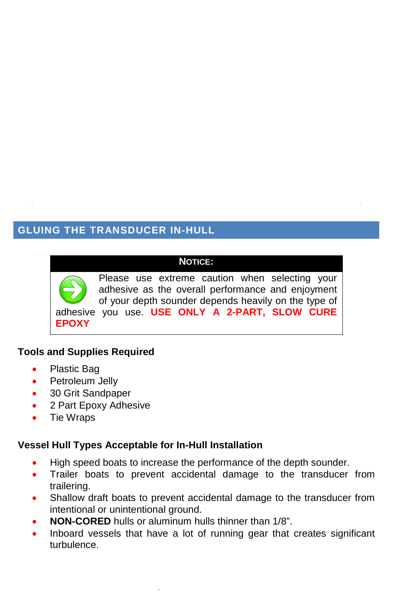# **GLUING THE TRANSDUCER IN-HULL**

## **NOTICE:**

Please use extreme caution when selecting your adhesive as the overall performance and enjoyment of your depth sounder depends heavily on the type of adhesive you use. **USE ONLY A 2-PART, SLOW CURE EPOXY**

## **Tools and Supplies Required**

- Plastic Bag
- Petroleum Jelly
- 30 Grit Sandpaper
- 2 Part Epoxy Adhesive
- Tie Wraps

# **Vessel Hull Types Acceptable for In-Hull Installation**

- High speed boats to increase the performance of the depth sounder.
- Trailer boats to prevent accidental damage to the transducer from trailering.
- Shallow draft boats to prevent accidental damage to the transducer from intentional or unintentional ground.
- **NON-CORED** hulls or aluminum hulls thinner than 1/8".
- Inboard vessels that have a lot of running gear that creates significant turbulence.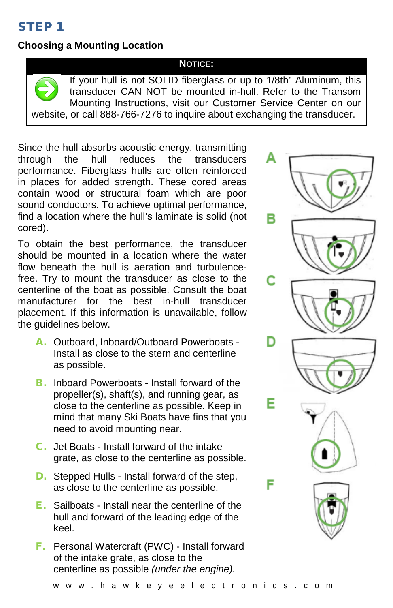# STEP 1

# **Choosing a Mounting Location**

#### **NOTICE:**

If your hull is not SOLID fiberglass or up to 1/8th" Aluminum, this transducer CAN NOT be mounted in-hull. Refer to the Transom Mounting Instructions, visit our Customer Service Center on our website, or call 888-766-7276 to inquire about exchanging the transducer.

Since the hull absorbs acoustic energy, transmitting<br>through the hull reduces the transducers through the hull reduces the transducers performance. Fiberglass hulls are often reinforced in places for added strength. These cored areas contain wood or structural foam which are poor sound conductors. To achieve optimal performance, find a location where the hull's laminate is solid (not cored).

To obtain the best performance, the transducer should be mounted in a location where the water flow beneath the hull is aeration and turbulencefree. Try to mount the transducer as close to the centerline of the boat as possible. Consult the boat manufacturer for the best in-hull transducer placement. If this information is unavailable, follow the guidelines below.

- A. Outboard, Inboard/Outboard Powerboats Install as close to the stern and centerline as possible.
- **B.** Inboard Powerboats Install forward of the propeller(s), shaft(s), and running gear, as close to the centerline as possible. Keep in mind that many Ski Boats have fins that you need to avoid mounting near.
- C. Jet Boats Install forward of the intake grate, as close to the centerline as possible.
- D. Stepped Hulls Install forward of the step, as close to the centerline as possible.
- E. Sailboats Install near the centerline of the hull and forward of the leading edge of the keel.
- F. Personal Watercraft (PWC) Install forward of the intake grate, as close to the centerline as possible *(under the engine).*

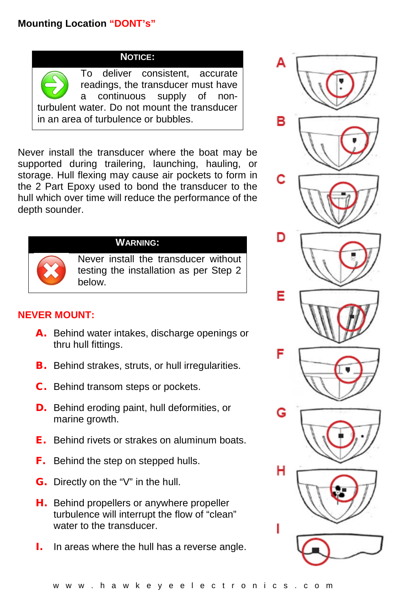# **Mounting Location "DONT's"**

**NOTICE:**

To deliver consistent, accurate readings, the transducer must have a continuous supply of nonturbulent water. Do not mount the transducer in an area of turbulence or bubbles.

Never install the transducer where the boat may be supported during trailering, launching, hauling, or storage. Hull flexing may cause air pockets to form in the 2 Part Epoxy used to bond the transducer to the hull which over time will reduce the performance of the depth sounder.



### **WARNING:**

Never install the transducer without testing the installation as per Step 2 below.

## **NEVER MOUNT:**

- A. Behind water intakes, discharge openings or thru hull fittings.
- **B.** Behind strakes, struts, or hull irregularities.
- **C.** Behind transom steps or pockets.
- **D.** Behind eroding paint, hull deformities, or marine growth.
- E. Behind rivets or strakes on aluminum boats.
- **F.** Behind the step on stepped hulls.
- G. Directly on the "V" in the hull.
- **H.** Behind propellers or anywhere propeller turbulence will interrupt the flow of "clean" water to the transducer.
- I. In areas where the hull has a reverse angle.

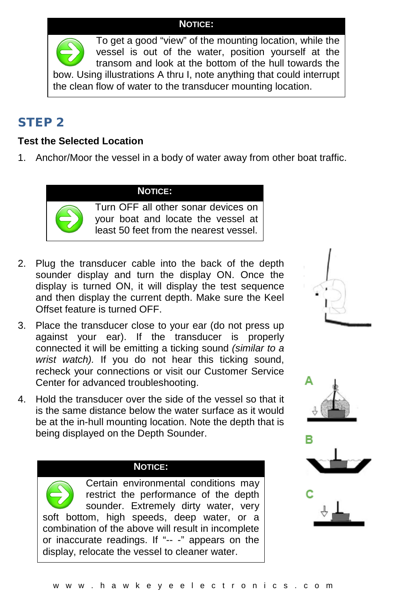### **NOTICE:**

To get a good "view" of the mounting location, while the vessel is out of the water, position yourself at the transom and look at the bottom of the hull towards the bow. Using illustrations A thru I, note anything that could interrupt the clean flow of water to the transducer mounting location.

# STEP 2

# **Test the Selected Location**

1. Anchor/Moor the vessel in a body of water away from other boat traffic.

### **NOTICE:**



Turn OFF all other sonar devices on your boat and locate the vessel at least 50 feet from the nearest vessel.

- 2. Plug the transducer cable into the back of the depth sounder display and turn the display ON. Once the display is turned ON, it will display the test sequence and then display the current depth. Make sure the Keel Offset feature is turned OFF.
- 3. Place the transducer close to your ear (do not press up against your ear). If the transducer is properly connected it will be emitting a ticking sound *(similar to a wrist watch).* If you do not hear this ticking sound, recheck your connections or visit our Customer Service Center for advanced troubleshooting.
- 4. Hold the transducer over the side of the vessel so that it is the same distance below the water surface as it would be at the in-hull mounting location. Note the depth that is being displayed on the Depth Sounder.

### **NOTICE:**

Certain environmental conditions may restrict the performance of the depth sounder. Extremely dirty water, very soft bottom, high speeds, deep water, or a combination of the above will result in incomplete or inaccurate readings. If "-- -" appears on the display, relocate the vessel to cleaner water.







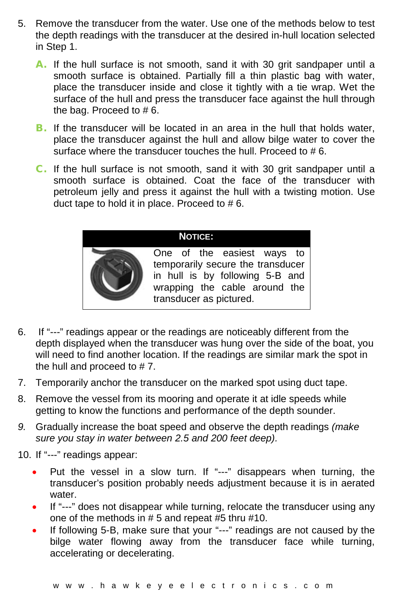- 5. Remove the transducer from the water. Use one of the methods below to test the depth readings with the transducer at the desired in-hull location selected in Step 1.
	- A. If the hull surface is not smooth, sand it with 30 grit sandpaper until a smooth surface is obtained. Partially fill a thin plastic bag with water, place the transducer inside and close it tightly with a tie wrap. Wet the surface of the hull and press the transducer face against the hull through the bag. Proceed to # 6.
	- **B.** If the transducer will be located in an area in the hull that holds water, place the transducer against the hull and allow bilge water to cover the surface where the transducer touches the hull. Proceed to #6.
	- C. If the hull surface is not smooth, sand it with 30 grit sandpaper until a smooth surface is obtained. Coat the face of the transducer with petroleum jelly and press it against the hull with a twisting motion. Use duct tape to hold it in place. Proceed to  $# 6$ .

### **NOTICE:**

One of the easiest ways to temporarily secure the transducer in hull is by following 5-B and wrapping the cable around the transducer as pictured.

- 6. If "---" readings appear or the readings are noticeably different from the depth displayed when the transducer was hung over the side of the boat, you will need to find another location. If the readings are similar mark the spot in the hull and proceed to # 7.
- 7. Temporarily anchor the transducer on the marked spot using duct tape.
- 8. Remove the vessel from its mooring and operate it at idle speeds while getting to know the functions and performance of the depth sounder.
- *9.* Gradually increase the boat speed and observe the depth readings *(make sure you stay in water between 2.5 and 200 feet deep).*
- 10. If "---" readings appear:
	- Put the vessel in a slow turn. If "---" disappears when turning, the transducer's position probably needs adjustment because it is in aerated water
	- If "---" does not disappear while turning, relocate the transducer using any one of the methods in # 5 and repeat #5 thru #10.
	- If following 5-B, make sure that your "---" readings are not caused by the bilge water flowing away from the transducer face while turning, accelerating or decelerating.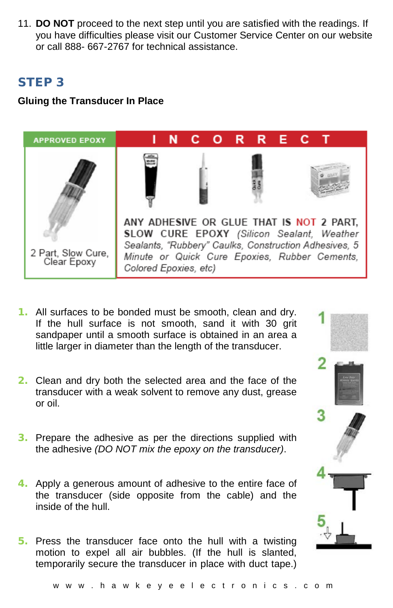11. **DO NOT** proceed to the next step until you are satisfied with the readings. If you have difficulties please visit our Customer Service Center on our website or call 888- 667-2767 for technical assistance.

# STEP 3

## **Gluing the Transducer In Place**



- 1. All surfaces to be bonded must be smooth, clean and dry. If the hull surface is not smooth, sand it with 30 grit sandpaper until a smooth surface is obtained in an area a little larger in diameter than the length of the transducer.
- 2. Clean and dry both the selected area and the face of the transducer with a weak solvent to remove any dust, grease or oil.
- 3. Prepare the adhesive as per the directions supplied with the adhesive *(DO NOT mix the epoxy on the transducer)*.
- 4. Apply a generous amount of adhesive to the entire face of the transducer (side opposite from the cable) and the inside of the hull.
- 5. Press the transducer face onto the hull with a twisting motion to expel all air bubbles. (If the hull is slanted, temporarily secure the transducer in place with duct tape.)

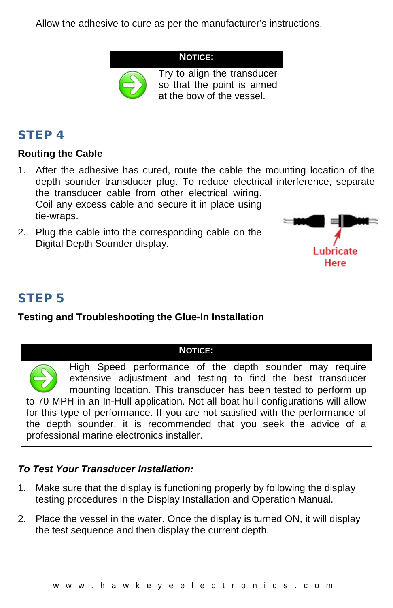Allow the adhesive to cure as per the manufacturer's instructions.



at the bow of the vessel.

# STEP 4

## **Routing the Cable**

- 1. After the adhesive has cured, route the cable the mounting location of the depth sounder transducer plug. To reduce electrical interference, separate the transducer cable from other electrical wiring. Coil any excess cable and secure it in place using tie-wraps.
- 2. Plug the cable into the corresponding cable on the Digital Depth Sounder display.



# STEP 5

# **Testing and Troubleshooting the Glue-In Installation**

### **NOTICE:**

High Speed performance of the depth sounder may require extensive adjustment and testing to find the best transducer mounting location. This transducer has been tested to perform up to 70 MPH in an In-Hull application. Not all boat hull configurations will allow for this type of performance. If you are not satisfied with the performance of the depth sounder, it is recommended that you seek the advice of a professional marine electronics installer.

## *To Test Your Transducer Installation:*

- 1. Make sure that the display is functioning properly by following the display testing procedures in the Display Installation and Operation Manual.
- 2. Place the vessel in the water. Once the display is turned ON, it will display the test sequence and then display the current depth.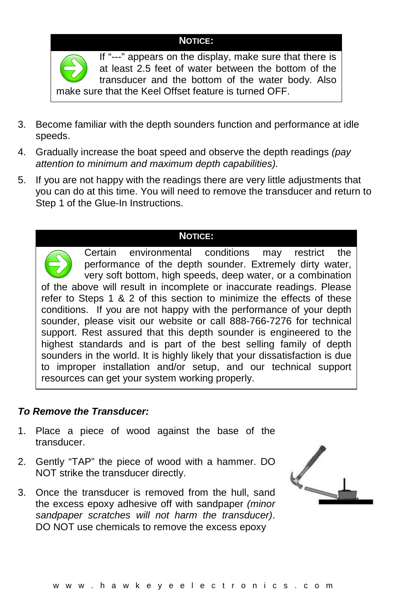### **NOTICE:**



If "---" appears on the display, make sure that there is at least 2.5 feet of water between the bottom of the transducer and the bottom of the water body. Also make sure that the Keel Offset feature is turned OFF.

- 3. Become familiar with the depth sounders function and performance at idle speeds.
- 4. Gradually increase the boat speed and observe the depth readings *(pay attention to minimum and maximum depth capabilities).*
- 5. If you are not happy with the readings there are very little adjustments that you can do at this time. You will need to remove the transducer and return to Step 1 of the Glue-In Instructions.

### **NOTICE:**

Certain environmental conditions may restrict the performance of the depth sounder. Extremely dirty water, very soft bottom, high speeds, deep water, or a combination of the above will result in incomplete or inaccurate readings. Please refer to Steps 1 & 2 of this section to minimize the effects of these conditions. If you are not happy with the performance of your depth sounder, please visit our website or call 888-766-7276 for technical support. Rest assured that this depth sounder is engineered to the highest standards and is part of the best selling family of depth sounders in the world. It is highly likely that your dissatisfaction is due to improper installation and/or setup, and our technical support resources can get your system working properly.

### *To Remove the Transducer:*

- 1. Place a piece of wood against the base of the transducer.
- 2. Gently "TAP" the piece of wood with a hammer. DO NOT strike the transducer directly.
- 3. Once the transducer is removed from the hull, sand the excess epoxy adhesive off with sandpaper *(minor sandpaper scratches will not harm the transducer)*. DO NOT use chemicals to remove the excess epoxy

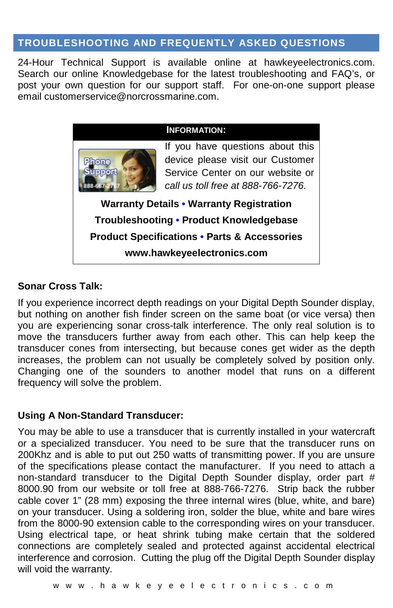## **TROUBLESHOOTING AND FREQUENTLY ASKED QUESTIONS**

24-Hour Technical Support is available online at hawkeyeelectronics.com. Search our online Knowledgebase for the latest troubleshooting and FAQ's, or post your own question for our support staff. For one-on-one support please email [customerservice@norcrossmarine.com.](mailto:customerservice@norcrossmarine.com)

#### **INFORMATION:**



If you have questions about this device please visit our Customer Service Center on our website or *call us toll free at 888-766-7276.*

**Warranty Details • Warranty Registration Troubleshooting • Product Knowledgebase Product Specifications • Parts & Accessories www.hawkeyeelectronics.com**

### **Sonar Cross Talk:**

If you experience incorrect depth readings on your Digital Depth Sounder display, but nothing on another fish finder screen on the same boat (or vice versa) then you are experiencing sonar cross-talk interference. The only real solution is to move the transducers further away from each other. This can help keep the transducer cones from intersecting, but because cones get wider as the depth increases, the problem can not usually be completely solved by position only. Changing one of the sounders to another model that runs on a different frequency will solve the problem.

## **Using A Non-Standard Transducer:**

You may be able to use a transducer that is currently installed in your watercraft or a specialized transducer. You need to be sure that the transducer runs on 200Khz and is able to put out 250 watts of transmitting power. If you are unsure of the specifications please contact the manufacturer. If you need to attach a non-standard transducer to the Digital Depth Sounder display, order part # 8000.90 from our website or toll free at 888-766-7276. Strip back the rubber cable cover 1" (28 mm) exposing the three internal wires (blue, white, and bare) on your transducer. Using a soldering iron, solder the blue, white and bare wires from the 8000-90 extension cable to the corresponding wires on your transducer. Using electrical tape, or heat shrink tubing make certain that the soldered connections are completely sealed and protected against accidental electrical interference and corrosion. Cutting the plug off the Digital Depth Sounder display will void the warranty.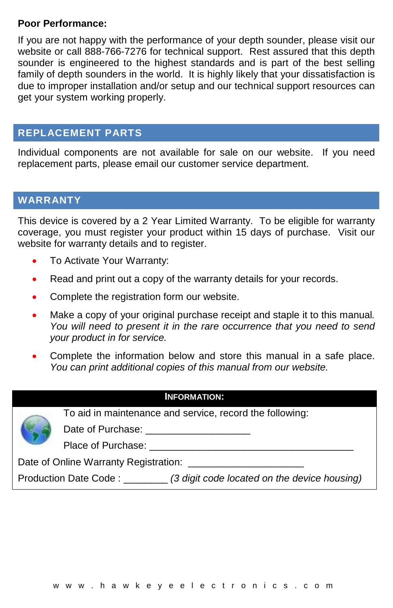### **Poor Performance:**

If you are not happy with the performance of your depth sounder, please visit our website or call 888-766-7276 for technical support. Rest assured that this depth sounder is engineered to the highest standards and is part of the best selling family of depth sounders in the world. It is highly likely that your dissatisfaction is due to improper installation and/or setup and our technical support resources can get your system working properly.

## **REPLACEMENT PARTS**

Individual components are not available for sale on our website. If you need replacement parts, please email our customer service department.

## **WARRANTY**

This device is covered by a 2 Year Limited Warranty. To be eligible for warranty coverage, you must register your product within 15 days of purchase. Visit our website for warranty details and to register.

- To Activate Your Warranty:
- Read and print out a copy of the warranty details for your records.
- Complete the registration form our website.
- Make a copy of your original purchase receipt and staple it to this manual*. You will need to present it in the rare occurrence that you need to send your product in for service.*
- Complete the information below and store this manual in a safe place. *You can print additional copies of this manual from our website.*

#### **INFORMATION:**

To aid in maintenance and service, record the following:

Date of Purchase: **Date of Purchase**:

Place of Purchase:

Date of Online Warranty Registration:

Production Date Code : \_\_\_\_\_\_\_\_ *(3 digit code located on the device housing)*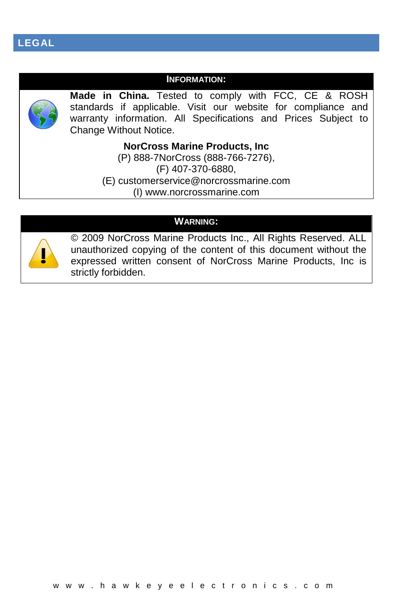### **INFORMATION:**



**Made in China.** Tested to comply with FCC, CE & ROSH standards if applicable. Visit our website for compliance and warranty information. All Specifications and Prices Subject to Change Without Notice.

**NorCross Marine Products, Inc**

(P) 888-7NorCross (888-766-7276), (F) 407-370-6880, (E) [customerservice@norcrossmarine.com](mailto:customerservice@norcrossmarine.com) (I) [www.norcrossmarine.com](http://www.norcrossmarine.com/)

### **WARNING:**



© 2009 NorCross Marine Products Inc., All Rights Reserved. ALL unauthorized copying of the content of this document without the expressed written consent of NorCross Marine Products, Inc is strictly forbidden.